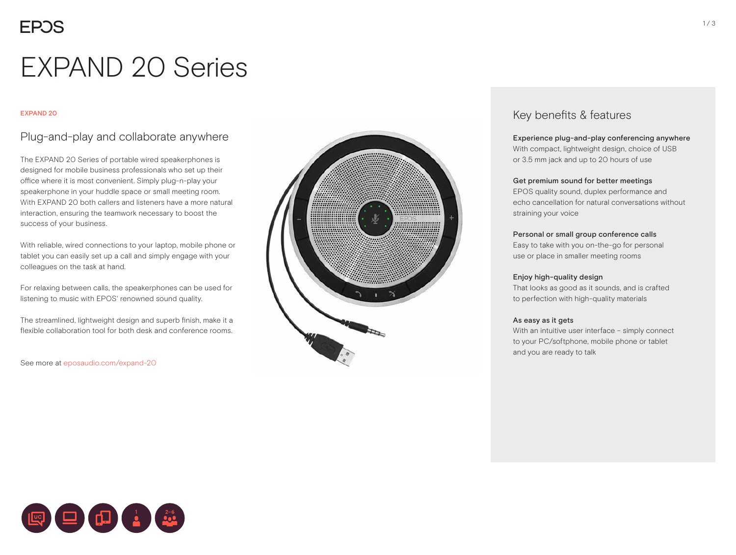# EXPAND 20 Series

#### EXPAND 20

### Plug-and-play and collaborate anywhere

The EXPAND 20 Series of portable wired speakerphones is designed for mobile business professionals who set up their office where it is most convenient. Simply plug-n-play your speakerphone in your huddle space or small meeting room. With EXPAND 20 both callers and listeners have a more natural interaction, ensuring the teamwork necessary to boost the success of your business.

With reliable, wired connections to your laptop, mobile phone or tablet you can easily set up a call and simply engage with your colleagues on the task at hand.

For relaxing between calls, the speakerphones can be used for listening to music with EPOS' renowned sound quality.

The streamlined, lightweight design and superb finish, make it a flexible collaboration tool for both desk and conference rooms.

```
See more at eposaudio.com/expand-20
```


### Key benefits & features

#### Experience plug-and-play conferencing anywhere

With compact, lightweight design, choice of USB or 3.5 mm jack and up to 20 hours of use

#### Get premium sound for better meetings

EPOS quality sound, duplex performance and echo cancellation for natural conversations without straining your voice

#### Personal or small group conference calls

Easy to take with you on-the-go for personal use or place in smaller meeting rooms

#### Enjoy high-quality design

That looks as good as it sounds, and is crafted to perfection with high-quality materials

#### As easy as it gets

With an intuitive user interface – simply connect to your PC/softphone, mobile phone or tablet and you are ready to talk

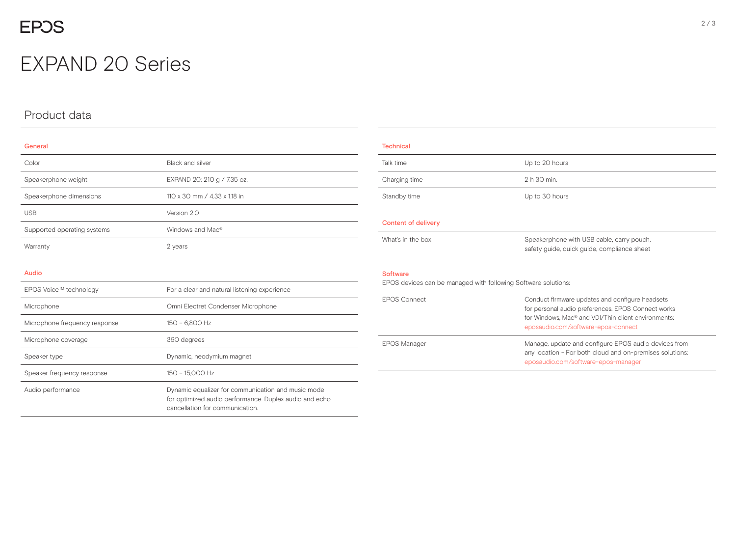## **EPOS**

## EXPAND 20 Series

## Product data

| General                     |                              |  |  |
|-----------------------------|------------------------------|--|--|
| Color                       | Black and silver             |  |  |
| Speakerphone weight         | EXPAND 20: 210 g / 7.35 oz.  |  |  |
| Speakerphone dimensions     | 110 x 30 mm / 4.33 x 1.18 in |  |  |
| <b>USB</b>                  | Version 2.0                  |  |  |
| Supported operating systems | Windows and Mac <sup>®</sup> |  |  |
| Warranty                    | 2 years                      |  |  |
|                             |                              |  |  |
| Audio                       |                              |  |  |

| EPOS Voice™ technology        | For a clear and natural listening experience                                                                                                    |  |  |
|-------------------------------|-------------------------------------------------------------------------------------------------------------------------------------------------|--|--|
| Microphone                    | Omni Electret Condenser Microphone                                                                                                              |  |  |
| Microphone frequency response | 150 - 6.800 Hz                                                                                                                                  |  |  |
| Microphone coverage           | 360 degrees                                                                                                                                     |  |  |
| Speaker type                  | Dynamic, neodymium magnet                                                                                                                       |  |  |
| Speaker frequency response    | 150 - 15.000 Hz                                                                                                                                 |  |  |
| Audio performance             | Dynamic equalizer for communication and music mode<br>for optimized audio performance. Duplex audio and echo<br>cancellation for communication. |  |  |

| <b>Technical</b>                                                                  |                                                                                                                       |  |  |  |
|-----------------------------------------------------------------------------------|-----------------------------------------------------------------------------------------------------------------------|--|--|--|
| Talk time                                                                         | Up to 20 hours                                                                                                        |  |  |  |
| Charging time                                                                     | 2 h 30 min.                                                                                                           |  |  |  |
| Standby time                                                                      | Up to 30 hours                                                                                                        |  |  |  |
|                                                                                   |                                                                                                                       |  |  |  |
| <b>Content of delivery</b>                                                        |                                                                                                                       |  |  |  |
| What's in the box                                                                 | Speakerphone with USB cable, carry pouch,                                                                             |  |  |  |
|                                                                                   | safety quide, quick quide, compliance sheet                                                                           |  |  |  |
|                                                                                   |                                                                                                                       |  |  |  |
| <b>Software</b><br>EPOS devices can be managed with following Software solutions: |                                                                                                                       |  |  |  |
|                                                                                   |                                                                                                                       |  |  |  |
| <b>FPOS Connect</b>                                                               | Conduct firmware updates and configure headsets                                                                       |  |  |  |
|                                                                                   | for personal audio preferences. EPOS Connect works<br>for Windows. Mac <sup>®</sup> and VDI/Thin client environments: |  |  |  |
|                                                                                   |                                                                                                                       |  |  |  |
|                                                                                   | eposaudio.com/software-epos-connect                                                                                   |  |  |  |
| <b>EPOS Manager</b>                                                               | Manage, update and configure EPOS audio devices from                                                                  |  |  |  |
|                                                                                   | any location - For both cloud and on-premises solutions:                                                              |  |  |  |
|                                                                                   | eposaudio.com/software-epos-manager                                                                                   |  |  |  |